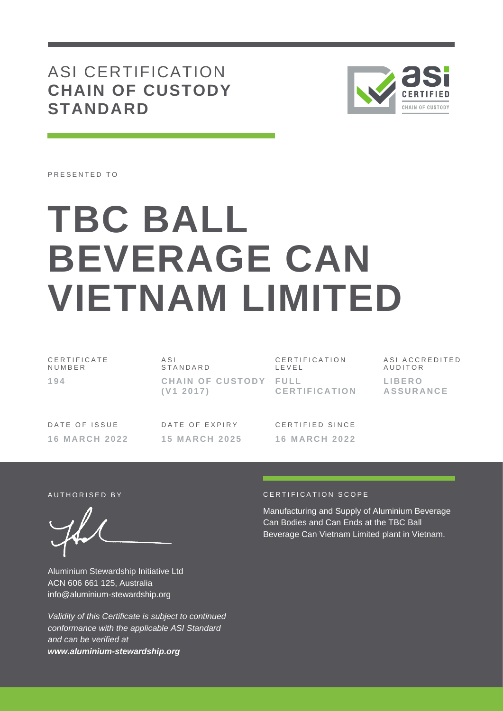ASI CERTIFICATION **CHAIN OF CUSTODY STANDARD**



PRESENTED TO

# **TBC BALL BEVERAGE CAN VIETNAM LIMITED**

| CERTIFICATE | ASI                                | CERTIFICATION        | ASI ACCREDITED              |
|-------------|------------------------------------|----------------------|-----------------------------|
| NUMBER      | STANDARD                           | LEVEL                | AUDITOR                     |
| 194         | CHAIN OF CUSTODY FULL<br>(V1 2017) | <b>CERTIFICATION</b> | LIBERO.<br><b>ASSURANCE</b> |

DATE OF ISSUE **1 6 M A R C H 2 0 2 2** DATE OF EXPIRY **1 5 M A R C H 2 0 2 5**

CERTIFIED SINCE **1 6 M A R C H 2 0 2 2**

Aluminium Stewardship Initiative Ltd ACN 606 661 125, Australia info@aluminium-stewardship.org

*Validity of this Certificate is subject to continued conformance with the applicable ASI Standard and can be verified at www.aluminium-stewardship.org*

#### A UTHORISED BY CERTIFICATION SCOPE

Manufacturing and Supply of Aluminium Beverage Can Bodies and Can Ends at the TBC Ball Beverage Can Vietnam Limited plant in Vietnam.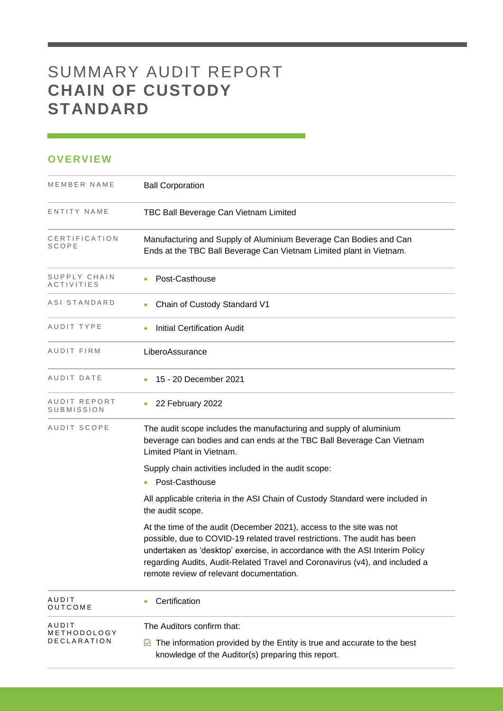# SUMMARY AUDIT REPORT **CHAIN OF CUSTODY STANDARD**

### **OVERVIEW**

| MEMBER NAME                       | <b>Ball Corporation</b>                                                                                                                                                                                                                                                                                                                                     |
|-----------------------------------|-------------------------------------------------------------------------------------------------------------------------------------------------------------------------------------------------------------------------------------------------------------------------------------------------------------------------------------------------------------|
| ENTITY NAME                       | TBC Ball Beverage Can Vietnam Limited                                                                                                                                                                                                                                                                                                                       |
| CERTIFICATION<br>SCOPE            | Manufacturing and Supply of Aluminium Beverage Can Bodies and Can<br>Ends at the TBC Ball Beverage Can Vietnam Limited plant in Vietnam.                                                                                                                                                                                                                    |
| SUPPLY CHAIN<br>ACTIVITIES        | Post-Casthouse                                                                                                                                                                                                                                                                                                                                              |
| ASI STANDARD                      | Chain of Custody Standard V1                                                                                                                                                                                                                                                                                                                                |
| AUDIT TYPE                        | <b>Initial Certification Audit</b>                                                                                                                                                                                                                                                                                                                          |
| AUDIT FIRM                        | LiberoAssurance                                                                                                                                                                                                                                                                                                                                             |
| AUDIT DATE                        | 15 - 20 December 2021                                                                                                                                                                                                                                                                                                                                       |
| AUDIT REPORT<br><b>SUBMISSION</b> | 22 February 2022                                                                                                                                                                                                                                                                                                                                            |
| AUDIT SCOPE                       | The audit scope includes the manufacturing and supply of aluminium<br>beverage can bodies and can ends at the TBC Ball Beverage Can Vietnam<br>Limited Plant in Vietnam.                                                                                                                                                                                    |
|                                   | Supply chain activities included in the audit scope:<br>• Post-Casthouse                                                                                                                                                                                                                                                                                    |
|                                   | All applicable criteria in the ASI Chain of Custody Standard were included in<br>the audit scope.                                                                                                                                                                                                                                                           |
|                                   | At the time of the audit (December 2021), access to the site was not<br>possible, due to COVID-19 related travel restrictions. The audit has been<br>undertaken as 'desktop' exercise, in accordance with the ASI Interim Policy<br>regarding Audits, Audit-Related Travel and Coronavirus (v4), and included a<br>remote review of relevant documentation. |
| AUDIT<br>OUTCOME                  | Certification                                                                                                                                                                                                                                                                                                                                               |
| AUDIT<br>METHODOLOGY              | The Auditors confirm that:                                                                                                                                                                                                                                                                                                                                  |
| <b>DECLARATION</b>                | The information provided by the Entity is true and accurate to the best<br>M<br>knowledge of the Auditor(s) preparing this report.                                                                                                                                                                                                                          |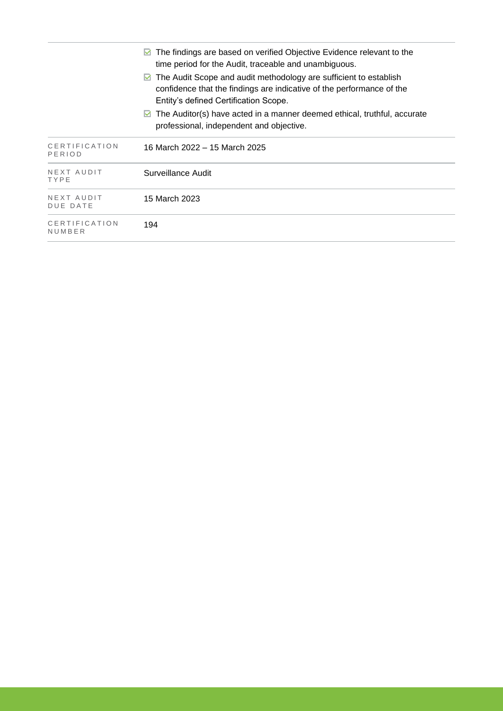|                               | The findings are based on verified Objective Evidence relevant to the<br>time period for the Audit, traceable and unambiguous.                                                           |
|-------------------------------|------------------------------------------------------------------------------------------------------------------------------------------------------------------------------------------|
|                               | The Audit Scope and audit methodology are sufficient to establish<br>M<br>confidence that the findings are indicative of the performance of the<br>Entity's defined Certification Scope. |
|                               | The Auditor(s) have acted in a manner deemed ethical, truthful, accurate<br>M<br>professional, independent and objective.                                                                |
| CERTIFICATION<br>PERIOD       | 16 March 2022 – 15 March 2025                                                                                                                                                            |
| NEXT AUDIT<br>TYPE            | Surveillance Audit                                                                                                                                                                       |
| NEXT AUDIT<br><b>DUE DATE</b> | 15 March 2023                                                                                                                                                                            |
| CERTIFICATION<br>NUMBER       | 194                                                                                                                                                                                      |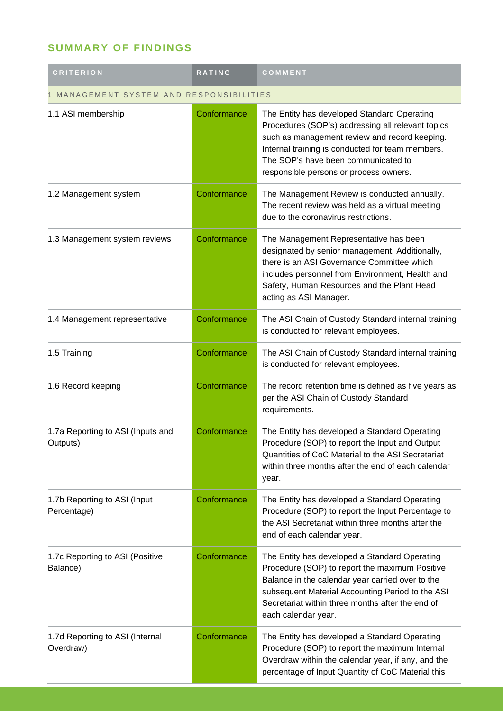## **SUMMARY OF FINDINGS**

| <b>CRITERION</b>                              | RATING      | COMMENT                                                                                                                                                                                                                                                                                |  |
|-----------------------------------------------|-------------|----------------------------------------------------------------------------------------------------------------------------------------------------------------------------------------------------------------------------------------------------------------------------------------|--|
| MANAGEMENT SYSTEM AND RESPONSIBILITIES        |             |                                                                                                                                                                                                                                                                                        |  |
| 1.1 ASI membership                            | Conformance | The Entity has developed Standard Operating<br>Procedures (SOP's) addressing all relevant topics<br>such as management review and record keeping.<br>Internal training is conducted for team members.<br>The SOP's have been communicated to<br>responsible persons or process owners. |  |
| 1.2 Management system                         | Conformance | The Management Review is conducted annually.<br>The recent review was held as a virtual meeting<br>due to the coronavirus restrictions.                                                                                                                                                |  |
| 1.3 Management system reviews                 | Conformance | The Management Representative has been<br>designated by senior management. Additionally,<br>there is an ASI Governance Committee which<br>includes personnel from Environment, Health and<br>Safety, Human Resources and the Plant Head<br>acting as ASI Manager.                      |  |
| 1.4 Management representative                 | Conformance | The ASI Chain of Custody Standard internal training<br>is conducted for relevant employees.                                                                                                                                                                                            |  |
| 1.5 Training                                  | Conformance | The ASI Chain of Custody Standard internal training<br>is conducted for relevant employees.                                                                                                                                                                                            |  |
| 1.6 Record keeping                            | Conformance | The record retention time is defined as five years as<br>per the ASI Chain of Custody Standard<br>requirements.                                                                                                                                                                        |  |
| 1.7a Reporting to ASI (Inputs and<br>Outputs) | Conformance | The Entity has developed a Standard Operating<br>Procedure (SOP) to report the Input and Output<br>Quantities of CoC Material to the ASI Secretariat<br>within three months after the end of each calendar<br>year.                                                                    |  |
| 1.7b Reporting to ASI (Input<br>Percentage)   | Conformance | The Entity has developed a Standard Operating<br>Procedure (SOP) to report the Input Percentage to<br>the ASI Secretariat within three months after the<br>end of each calendar year.                                                                                                  |  |
| 1.7c Reporting to ASI (Positive<br>Balance)   | Conformance | The Entity has developed a Standard Operating<br>Procedure (SOP) to report the maximum Positive<br>Balance in the calendar year carried over to the<br>subsequent Material Accounting Period to the ASI<br>Secretariat within three months after the end of<br>each calendar year.     |  |
| 1.7d Reporting to ASI (Internal<br>Overdraw)  | Conformance | The Entity has developed a Standard Operating<br>Procedure (SOP) to report the maximum Internal<br>Overdraw within the calendar year, if any, and the<br>percentage of Input Quantity of CoC Material this                                                                             |  |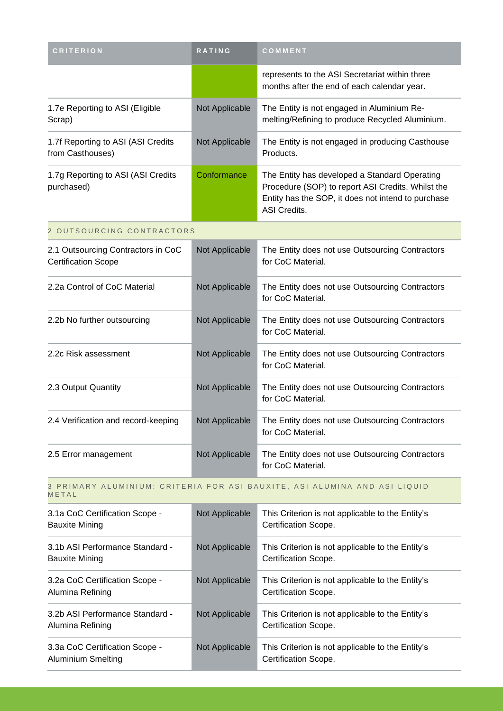| <b>CRITERION</b>                                                                   | RATING         | COMMENT                                                                                                                                                                  |  |
|------------------------------------------------------------------------------------|----------------|--------------------------------------------------------------------------------------------------------------------------------------------------------------------------|--|
|                                                                                    |                | represents to the ASI Secretariat within three<br>months after the end of each calendar year.                                                                            |  |
| 1.7e Reporting to ASI (Eligible<br>Scrap)                                          | Not Applicable | The Entity is not engaged in Aluminium Re-<br>melting/Refining to produce Recycled Aluminium.                                                                            |  |
| 1.7f Reporting to ASI (ASI Credits<br>from Casthouses)                             | Not Applicable | The Entity is not engaged in producing Casthouse<br>Products.                                                                                                            |  |
| 1.7g Reporting to ASI (ASI Credits<br>purchased)                                   | Conformance    | The Entity has developed a Standard Operating<br>Procedure (SOP) to report ASI Credits. Whilst the<br>Entity has the SOP, it does not intend to purchase<br>ASI Credits. |  |
| 2 OUTSOURCING CONTRACTORS                                                          |                |                                                                                                                                                                          |  |
| 2.1 Outsourcing Contractors in CoC<br><b>Certification Scope</b>                   | Not Applicable | The Entity does not use Outsourcing Contractors<br>for CoC Material.                                                                                                     |  |
| 2.2a Control of CoC Material                                                       | Not Applicable | The Entity does not use Outsourcing Contractors<br>for CoC Material.                                                                                                     |  |
| 2.2b No further outsourcing                                                        | Not Applicable | The Entity does not use Outsourcing Contractors<br>for CoC Material.                                                                                                     |  |
| 2.2c Risk assessment                                                               | Not Applicable | The Entity does not use Outsourcing Contractors<br>for CoC Material.                                                                                                     |  |
| 2.3 Output Quantity                                                                | Not Applicable | The Entity does not use Outsourcing Contractors<br>for CoC Material.                                                                                                     |  |
| 2.4 Verification and record-keeping                                                | Not Applicable | The Entity does not use Outsourcing Contractors<br>for CoC Material.                                                                                                     |  |
| 2.5 Error management                                                               | Not Applicable | The Entity does not use Outsourcing Contractors<br>for CoC Material.                                                                                                     |  |
| 3 PRIMARY ALUMINIUM: CRITERIA FOR ASI BAUXITE, ASI ALUMINA AND ASI LIQUID<br>METAL |                |                                                                                                                                                                          |  |
| 3.1a CoC Certification Scope -<br><b>Bauxite Mining</b>                            | Not Applicable | This Criterion is not applicable to the Entity's<br>Certification Scope.                                                                                                 |  |
| 3.1b ASI Performance Standard -<br><b>Bauxite Mining</b>                           | Not Applicable | This Criterion is not applicable to the Entity's<br>Certification Scope.                                                                                                 |  |
| 3.2a CoC Certification Scope -<br>Alumina Refining                                 | Not Applicable | This Criterion is not applicable to the Entity's<br>Certification Scope.                                                                                                 |  |
| 3.2b ASI Performance Standard -<br>Alumina Refining                                | Not Applicable | This Criterion is not applicable to the Entity's<br>Certification Scope.                                                                                                 |  |
| 3.3a CoC Certification Scope -<br>Aluminium Smelting                               | Not Applicable | This Criterion is not applicable to the Entity's<br>Certification Scope.                                                                                                 |  |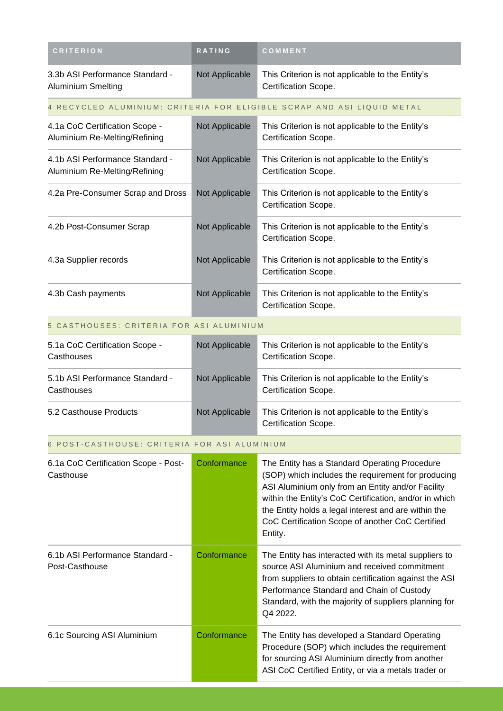| <b>CRITERION</b>                                                 | RATING         | COMMENT                                                                                                                                                                                                                                                                                                                                   |
|------------------------------------------------------------------|----------------|-------------------------------------------------------------------------------------------------------------------------------------------------------------------------------------------------------------------------------------------------------------------------------------------------------------------------------------------|
| 3.3b ASI Performance Standard -<br><b>Aluminium Smelting</b>     | Not Applicable | This Criterion is not applicable to the Entity's<br>Certification Scope.                                                                                                                                                                                                                                                                  |
|                                                                  |                | 4 RECYCLED ALUMINIUM: CRITERIA FOR ELIGIBLE SCRAP AND ASI LIQUID METAL                                                                                                                                                                                                                                                                    |
| 4.1a CoC Certification Scope -<br>Aluminium Re-Melting/Refining  | Not Applicable | This Criterion is not applicable to the Entity's<br>Certification Scope.                                                                                                                                                                                                                                                                  |
| 4.1b ASI Performance Standard -<br>Aluminium Re-Melting/Refining | Not Applicable | This Criterion is not applicable to the Entity's<br>Certification Scope.                                                                                                                                                                                                                                                                  |
| 4.2a Pre-Consumer Scrap and Dross                                | Not Applicable | This Criterion is not applicable to the Entity's<br>Certification Scope.                                                                                                                                                                                                                                                                  |
| 4.2b Post-Consumer Scrap                                         | Not Applicable | This Criterion is not applicable to the Entity's<br>Certification Scope.                                                                                                                                                                                                                                                                  |
| 4.3a Supplier records                                            | Not Applicable | This Criterion is not applicable to the Entity's<br>Certification Scope.                                                                                                                                                                                                                                                                  |
| 4.3b Cash payments                                               | Not Applicable | This Criterion is not applicable to the Entity's<br>Certification Scope.                                                                                                                                                                                                                                                                  |
| 5 CASTHOUSES: CRITERIA FOR ASI ALUMINIUM                         |                |                                                                                                                                                                                                                                                                                                                                           |
| 5.1a CoC Certification Scope -<br>Casthouses                     | Not Applicable | This Criterion is not applicable to the Entity's<br>Certification Scope.                                                                                                                                                                                                                                                                  |
| 5.1b ASI Performance Standard -<br>Casthouses                    | Not Applicable | This Criterion is not applicable to the Entity's<br>Certification Scope.                                                                                                                                                                                                                                                                  |
| 5.2 Casthouse Products                                           | Not Applicable | This Criterion is not applicable to the Entity's<br>Certification Scope.                                                                                                                                                                                                                                                                  |
| 6 POST-CASTHOUSE: CRITERIA FOR ASI ALUMINIUM                     |                |                                                                                                                                                                                                                                                                                                                                           |
| 6.1a CoC Certification Scope - Post-<br>Casthouse                | Conformance    | The Entity has a Standard Operating Procedure<br>(SOP) which includes the requirement for producing<br>ASI Aluminium only from an Entity and/or Facility<br>within the Entity's CoC Certification, and/or in which<br>the Entity holds a legal interest and are within the<br>CoC Certification Scope of another CoC Certified<br>Entity. |
| 6.1b ASI Performance Standard -<br>Post-Casthouse                | Conformance    | The Entity has interacted with its metal suppliers to<br>source ASI Aluminium and received commitment<br>from suppliers to obtain certification against the ASI<br>Performance Standard and Chain of Custody<br>Standard, with the majority of suppliers planning for<br>Q4 2022.                                                         |
| 6.1c Sourcing ASI Aluminium                                      | Conformance    | The Entity has developed a Standard Operating<br>Procedure (SOP) which includes the requirement<br>for sourcing ASI Aluminium directly from another<br>ASI CoC Certified Entity, or via a metals trader or                                                                                                                                |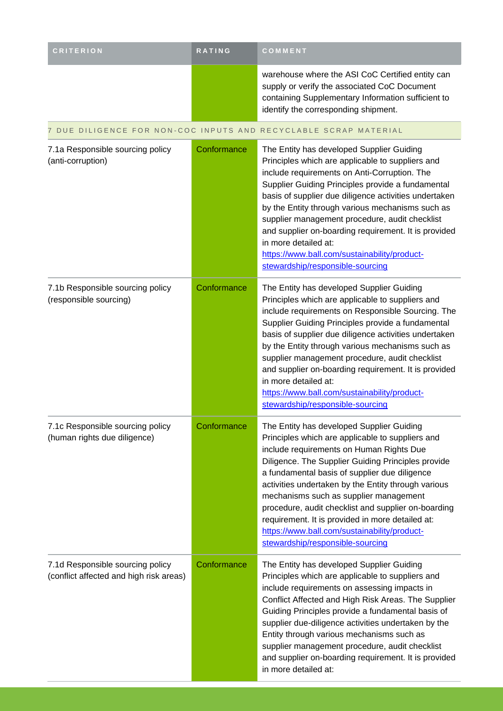| <b>CRITERION</b>                                                            | RATING      | COMMENT                                                                                                                                                                                                                                                                                                                                                                                                                                                                                                                                          |
|-----------------------------------------------------------------------------|-------------|--------------------------------------------------------------------------------------------------------------------------------------------------------------------------------------------------------------------------------------------------------------------------------------------------------------------------------------------------------------------------------------------------------------------------------------------------------------------------------------------------------------------------------------------------|
|                                                                             |             | warehouse where the ASI CoC Certified entity can<br>supply or verify the associated CoC Document<br>containing Supplementary Information sufficient to<br>identify the corresponding shipment.                                                                                                                                                                                                                                                                                                                                                   |
|                                                                             |             | 7 DUE DILIGENCE FOR NON-COC INPUTS AND RECYCLABLE SCRAP MATERIAL                                                                                                                                                                                                                                                                                                                                                                                                                                                                                 |
| 7.1a Responsible sourcing policy<br>(anti-corruption)                       | Conformance | The Entity has developed Supplier Guiding<br>Principles which are applicable to suppliers and<br>include requirements on Anti-Corruption. The<br>Supplier Guiding Principles provide a fundamental<br>basis of supplier due diligence activities undertaken<br>by the Entity through various mechanisms such as<br>supplier management procedure, audit checklist<br>and supplier on-boarding requirement. It is provided<br>in more detailed at:<br>https://www.ball.com/sustainability/product-<br>stewardship/responsible-sourcing            |
| 7.1b Responsible sourcing policy<br>(responsible sourcing)                  | Conformance | The Entity has developed Supplier Guiding<br>Principles which are applicable to suppliers and<br>include requirements on Responsible Sourcing. The<br>Supplier Guiding Principles provide a fundamental<br>basis of supplier due diligence activities undertaken<br>by the Entity through various mechanisms such as<br>supplier management procedure, audit checklist<br>and supplier on-boarding requirement. It is provided<br>in more detailed at:<br>https://www.ball.com/sustainability/product-<br>stewardship/responsible-sourcing       |
| 7.1c Responsible sourcing policy<br>(human rights due diligence)            | Conformance | The Entity has developed Supplier Guiding<br>Principles which are applicable to suppliers and<br>include requirements on Human Rights Due<br>Diligence. The Supplier Guiding Principles provide<br>a fundamental basis of supplier due diligence<br>activities undertaken by the Entity through various<br>mechanisms such as supplier management<br>procedure, audit checklist and supplier on-boarding<br>requirement. It is provided in more detailed at:<br>https://www.ball.com/sustainability/product-<br>stewardship/responsible-sourcing |
| 7.1d Responsible sourcing policy<br>(conflict affected and high risk areas) | Conformance | The Entity has developed Supplier Guiding<br>Principles which are applicable to suppliers and<br>include requirements on assessing impacts in<br>Conflict Affected and High Risk Areas. The Supplier<br>Guiding Principles provide a fundamental basis of<br>supplier due-diligence activities undertaken by the<br>Entity through various mechanisms such as<br>supplier management procedure, audit checklist<br>and supplier on-boarding requirement. It is provided<br>in more detailed at:                                                  |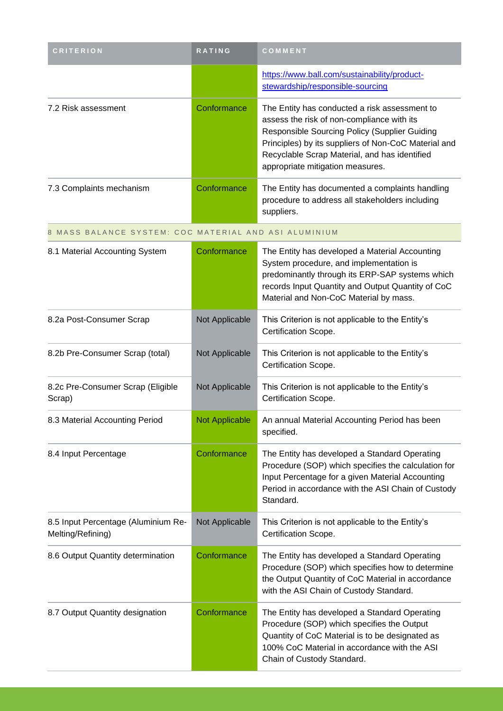| <b>CRITERION</b>                                         | RATING                | COMMENT                                                                                                                                                                                                                                                                                   |
|----------------------------------------------------------|-----------------------|-------------------------------------------------------------------------------------------------------------------------------------------------------------------------------------------------------------------------------------------------------------------------------------------|
|                                                          |                       | https://www.ball.com/sustainability/product-<br>stewardship/responsible-sourcing                                                                                                                                                                                                          |
| 7.2 Risk assessment                                      | Conformance           | The Entity has conducted a risk assessment to<br>assess the risk of non-compliance with its<br>Responsible Sourcing Policy (Supplier Guiding<br>Principles) by its suppliers of Non-CoC Material and<br>Recyclable Scrap Material, and has identified<br>appropriate mitigation measures. |
| 7.3 Complaints mechanism                                 | Conformance           | The Entity has documented a complaints handling<br>procedure to address all stakeholders including<br>suppliers.                                                                                                                                                                          |
| 8 MASS BALANCE SYSTEM: COC MATERIAL AND ASI ALUMINIUM    |                       |                                                                                                                                                                                                                                                                                           |
| 8.1 Material Accounting System                           | Conformance           | The Entity has developed a Material Accounting<br>System procedure, and implementation is<br>predominantly through its ERP-SAP systems which<br>records Input Quantity and Output Quantity of CoC<br>Material and Non-CoC Material by mass.                                               |
| 8.2a Post-Consumer Scrap                                 | Not Applicable        | This Criterion is not applicable to the Entity's<br>Certification Scope.                                                                                                                                                                                                                  |
| 8.2b Pre-Consumer Scrap (total)                          | Not Applicable        | This Criterion is not applicable to the Entity's<br>Certification Scope.                                                                                                                                                                                                                  |
| 8.2c Pre-Consumer Scrap (Eligible<br>Scrap)              | Not Applicable        | This Criterion is not applicable to the Entity's<br>Certification Scope.                                                                                                                                                                                                                  |
| 8.3 Material Accounting Period                           | <b>Not Applicable</b> | An annual Material Accounting Period has been<br>specified.                                                                                                                                                                                                                               |
| 8.4 Input Percentage                                     | Conformance           | The Entity has developed a Standard Operating<br>Procedure (SOP) which specifies the calculation for<br>Input Percentage for a given Material Accounting<br>Period in accordance with the ASI Chain of Custody<br>Standard.                                                               |
| 8.5 Input Percentage (Aluminium Re-<br>Melting/Refining) | Not Applicable        | This Criterion is not applicable to the Entity's<br>Certification Scope.                                                                                                                                                                                                                  |
| 8.6 Output Quantity determination                        | Conformance           | The Entity has developed a Standard Operating<br>Procedure (SOP) which specifies how to determine<br>the Output Quantity of CoC Material in accordance<br>with the ASI Chain of Custody Standard.                                                                                         |
| 8.7 Output Quantity designation                          | Conformance           | The Entity has developed a Standard Operating<br>Procedure (SOP) which specifies the Output<br>Quantity of CoC Material is to be designated as<br>100% CoC Material in accordance with the ASI<br>Chain of Custody Standard.                                                              |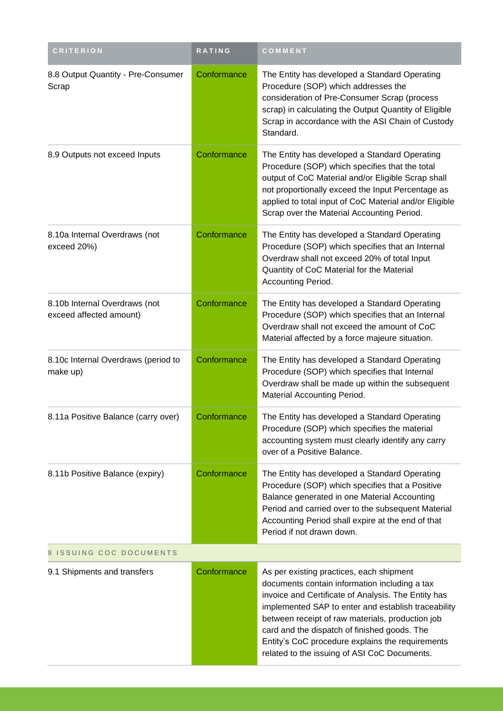| <b>CRITERION</b>                                         | RATING      | COMMENT                                                                                                                                                                                                                                                                                                                                                                                                         |  |
|----------------------------------------------------------|-------------|-----------------------------------------------------------------------------------------------------------------------------------------------------------------------------------------------------------------------------------------------------------------------------------------------------------------------------------------------------------------------------------------------------------------|--|
| 8.8 Output Quantity - Pre-Consumer<br>Scrap              | Conformance | The Entity has developed a Standard Operating<br>Procedure (SOP) which addresses the<br>consideration of Pre-Consumer Scrap (process<br>scrap) in calculating the Output Quantity of Eligible<br>Scrap in accordance with the ASI Chain of Custody<br>Standard.                                                                                                                                                 |  |
| 8.9 Outputs not exceed Inputs                            | Conformance | The Entity has developed a Standard Operating<br>Procedure (SOP) which specifies that the total<br>output of CoC Material and/or Eligible Scrap shall<br>not proportionally exceed the Input Percentage as<br>applied to total input of CoC Material and/or Eligible<br>Scrap over the Material Accounting Period.                                                                                              |  |
| 8.10a Internal Overdraws (not<br>exceed 20%)             | Conformance | The Entity has developed a Standard Operating<br>Procedure (SOP) which specifies that an Internal<br>Overdraw shall not exceed 20% of total Input<br>Quantity of CoC Material for the Material<br>Accounting Period.                                                                                                                                                                                            |  |
| 8.10b Internal Overdraws (not<br>exceed affected amount) | Conformance | The Entity has developed a Standard Operating<br>Procedure (SOP) which specifies that an Internal<br>Overdraw shall not exceed the amount of CoC<br>Material affected by a force majeure situation.                                                                                                                                                                                                             |  |
| 8.10c Internal Overdraws (period to<br>make up)          | Conformance | The Entity has developed a Standard Operating<br>Procedure (SOP) which specifies that Internal<br>Overdraw shall be made up within the subsequent<br>Material Accounting Period.                                                                                                                                                                                                                                |  |
| 8.11a Positive Balance (carry over)                      | Conformance | The Entity has developed a Standard Operating<br>Procedure (SOP) which specifies the material<br>accounting system must clearly identify any carry<br>over of a Positive Balance.                                                                                                                                                                                                                               |  |
| 8.11b Positive Balance (expiry)                          | Conformance | The Entity has developed a Standard Operating<br>Procedure (SOP) which specifies that a Positive<br>Balance generated in one Material Accounting<br>Period and carried over to the subsequent Material<br>Accounting Period shall expire at the end of that<br>Period if not drawn down.                                                                                                                        |  |
| 9 ISSUING COC DOCUMENTS                                  |             |                                                                                                                                                                                                                                                                                                                                                                                                                 |  |
| 9.1 Shipments and transfers                              | Conformance | As per existing practices, each shipment<br>documents contain information including a tax<br>invoice and Certificate of Analysis. The Entity has<br>implemented SAP to enter and establish traceability<br>between receipt of raw materials, production job<br>card and the dispatch of finished goods. The<br>Entity's CoC procedure explains the requirements<br>related to the issuing of ASI CoC Documents. |  |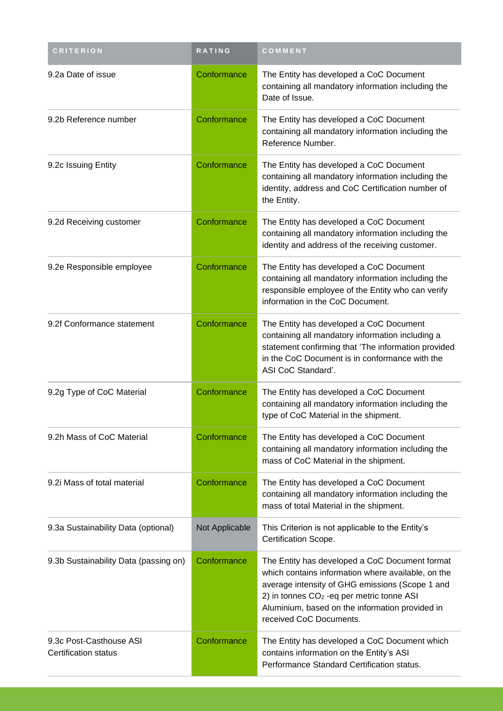| <b>CRITERION</b>                                       | RATING         | COMMENT                                                                                                                                                                                                                                                                                         |
|--------------------------------------------------------|----------------|-------------------------------------------------------------------------------------------------------------------------------------------------------------------------------------------------------------------------------------------------------------------------------------------------|
| 9.2a Date of issue                                     | Conformance    | The Entity has developed a CoC Document<br>containing all mandatory information including the<br>Date of Issue.                                                                                                                                                                                 |
| 9.2b Reference number                                  | Conformance    | The Entity has developed a CoC Document<br>containing all mandatory information including the<br>Reference Number.                                                                                                                                                                              |
| 9.2c Issuing Entity                                    | Conformance    | The Entity has developed a CoC Document<br>containing all mandatory information including the<br>identity, address and CoC Certification number of<br>the Entity.                                                                                                                               |
| 9.2d Receiving customer                                | Conformance    | The Entity has developed a CoC Document<br>containing all mandatory information including the<br>identity and address of the receiving customer.                                                                                                                                                |
| 9.2e Responsible employee                              | Conformance    | The Entity has developed a CoC Document<br>containing all mandatory information including the<br>responsible employee of the Entity who can verify<br>information in the CoC Document.                                                                                                          |
| 9.2f Conformance statement                             | Conformance    | The Entity has developed a CoC Document<br>containing all mandatory information including a<br>statement confirming that 'The information provided<br>in the CoC Document is in conformance with the<br>ASI CoC Standard'.                                                                      |
| 9.2g Type of CoC Material                              | Conformance    | The Entity has developed a CoC Document<br>containing all mandatory information including the<br>type of CoC Material in the shipment.                                                                                                                                                          |
| 9.2h Mass of CoC Material                              | Conformance    | The Entity has developed a CoC Document<br>containing all mandatory information including the<br>mass of CoC Material in the shipment.                                                                                                                                                          |
| 9.2i Mass of total material                            | Conformance    | The Entity has developed a CoC Document<br>containing all mandatory information including the<br>mass of total Material in the shipment.                                                                                                                                                        |
| 9.3a Sustainability Data (optional)                    | Not Applicable | This Criterion is not applicable to the Entity's<br>Certification Scope.                                                                                                                                                                                                                        |
| 9.3b Sustainability Data (passing on)                  | Conformance    | The Entity has developed a CoC Document format<br>which contains information where available, on the<br>average intensity of GHG emissions (Scope 1 and<br>2) in tonnes CO <sub>2</sub> - eq per metric tonne ASI<br>Aluminium, based on the information provided in<br>received CoC Documents. |
| 9.3c Post-Casthouse ASI<br><b>Certification status</b> | Conformance    | The Entity has developed a CoC Document which<br>contains information on the Entity's ASI<br>Performance Standard Certification status.                                                                                                                                                         |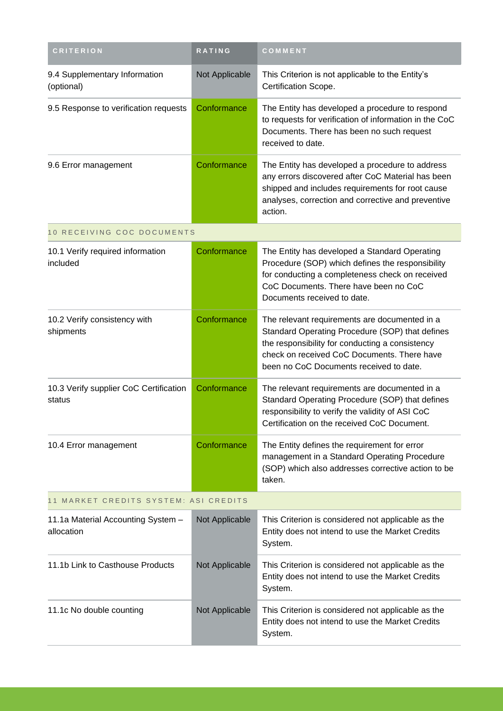| <b>CRITERION</b>                                 | RATING         | COMMENT                                                                                                                                                                                                                                       |
|--------------------------------------------------|----------------|-----------------------------------------------------------------------------------------------------------------------------------------------------------------------------------------------------------------------------------------------|
| 9.4 Supplementary Information<br>(optional)      | Not Applicable | This Criterion is not applicable to the Entity's<br>Certification Scope.                                                                                                                                                                      |
| 9.5 Response to verification requests            | Conformance    | The Entity has developed a procedure to respond<br>to requests for verification of information in the CoC<br>Documents. There has been no such request<br>received to date.                                                                   |
| 9.6 Error management                             | Conformance    | The Entity has developed a procedure to address<br>any errors discovered after CoC Material has been<br>shipped and includes requirements for root cause<br>analyses, correction and corrective and preventive<br>action.                     |
| 10 RECEIVING COC DOCUMENTS                       |                |                                                                                                                                                                                                                                               |
| 10.1 Verify required information<br>included     | Conformance    | The Entity has developed a Standard Operating<br>Procedure (SOP) which defines the responsibility<br>for conducting a completeness check on received<br>CoC Documents. There have been no CoC<br>Documents received to date.                  |
| 10.2 Verify consistency with<br>shipments        | Conformance    | The relevant requirements are documented in a<br>Standard Operating Procedure (SOP) that defines<br>the responsibility for conducting a consistency<br>check on received CoC Documents. There have<br>been no CoC Documents received to date. |
| 10.3 Verify supplier CoC Certification<br>status | Conformance    | The relevant requirements are documented in a<br>Standard Operating Procedure (SOP) that defines<br>responsibility to verify the validity of ASI CoC<br>Certification on the received CoC Document.                                           |
| 10.4 Error management                            | Conformance    | The Entity defines the requirement for error<br>management in a Standard Operating Procedure<br>(SOP) which also addresses corrective action to be<br>taken.                                                                                  |
| 11 MARKET CREDITS SYSTEM: ASI CREDITS            |                |                                                                                                                                                                                                                                               |
| 11.1a Material Accounting System -<br>allocation | Not Applicable | This Criterion is considered not applicable as the<br>Entity does not intend to use the Market Credits<br>System.                                                                                                                             |
| 11.1b Link to Casthouse Products                 | Not Applicable | This Criterion is considered not applicable as the<br>Entity does not intend to use the Market Credits<br>System.                                                                                                                             |
| 11.1c No double counting                         | Not Applicable | This Criterion is considered not applicable as the<br>Entity does not intend to use the Market Credits<br>System.                                                                                                                             |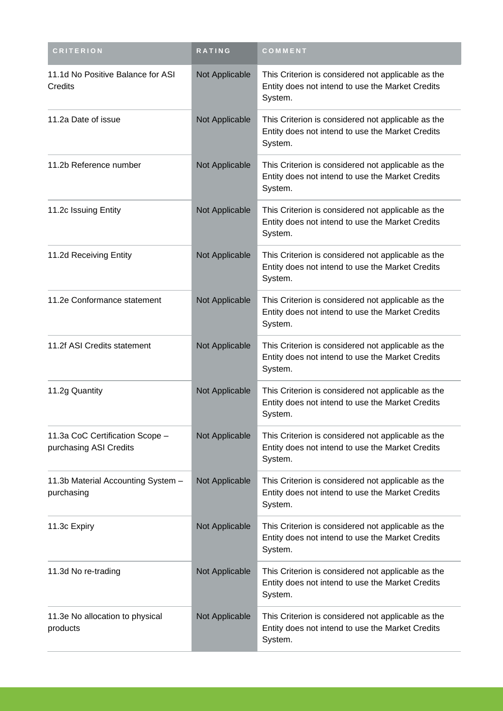| <b>CRITERION</b>                                          | RATING         | COMMENT                                                                                                           |
|-----------------------------------------------------------|----------------|-------------------------------------------------------------------------------------------------------------------|
| 11.1d No Positive Balance for ASI<br>Credits              | Not Applicable | This Criterion is considered not applicable as the<br>Entity does not intend to use the Market Credits<br>System. |
| 11.2a Date of issue                                       | Not Applicable | This Criterion is considered not applicable as the<br>Entity does not intend to use the Market Credits<br>System. |
| 11.2b Reference number                                    | Not Applicable | This Criterion is considered not applicable as the<br>Entity does not intend to use the Market Credits<br>System. |
| 11.2c Issuing Entity                                      | Not Applicable | This Criterion is considered not applicable as the<br>Entity does not intend to use the Market Credits<br>System. |
| 11.2d Receiving Entity                                    | Not Applicable | This Criterion is considered not applicable as the<br>Entity does not intend to use the Market Credits<br>System. |
| 11.2e Conformance statement                               | Not Applicable | This Criterion is considered not applicable as the<br>Entity does not intend to use the Market Credits<br>System. |
| 11.2f ASI Credits statement                               | Not Applicable | This Criterion is considered not applicable as the<br>Entity does not intend to use the Market Credits<br>System. |
| 11.2g Quantity                                            | Not Applicable | This Criterion is considered not applicable as the<br>Entity does not intend to use the Market Credits<br>System. |
| 11.3a CoC Certification Scope -<br>purchasing ASI Credits | Not Applicable | This Criterion is considered not applicable as the<br>Entity does not intend to use the Market Credits<br>System. |
| 11.3b Material Accounting System -<br>purchasing          | Not Applicable | This Criterion is considered not applicable as the<br>Entity does not intend to use the Market Credits<br>System. |
| 11.3c Expiry                                              | Not Applicable | This Criterion is considered not applicable as the<br>Entity does not intend to use the Market Credits<br>System. |
| 11.3d No re-trading                                       | Not Applicable | This Criterion is considered not applicable as the<br>Entity does not intend to use the Market Credits<br>System. |
| 11.3e No allocation to physical<br>products               | Not Applicable | This Criterion is considered not applicable as the<br>Entity does not intend to use the Market Credits<br>System. |